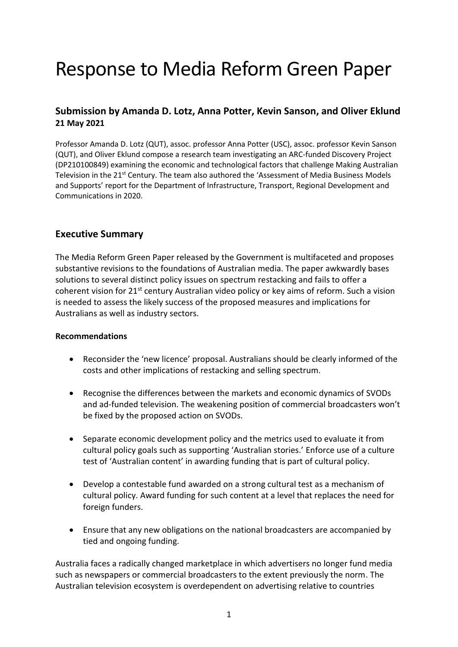# Response to Media Reform Green Paper

# **Submission by Amanda D. Lotz, Anna Potter, Kevin Sanson, and Oliver Eklund 21 May 2021**

Professor Amanda D. Lotz (QUT), assoc. professor Anna Potter (USC), assoc. professor Kevin Sanson (QUT), and Oliver Eklund compose a research team investigating an ARC-funded Discovery Project (DP210100849) examining the economic and technological factors that challenge Making Australian Television in the 21<sup>st</sup> Century. The team also authored the 'Assessment of Media Business Models and Supports' report for the Department of Infrastructure, Transport, Regional Development and Communications in 2020.

## **Executive Summary**

The Media Reform Green Paper released by the Government is multifaceted and proposes substantive revisions to the foundations of Australian media. The paper awkwardly bases solutions to several distinct policy issues on spectrum restacking and fails to offer a coherent vision for  $21^{st}$  century Australian video policy or key aims of reform. Such a vision is needed to assess the likely success of the proposed measures and implications for Australians as well as industry sectors.

#### **Recommendations**

- Reconsider the 'new licence' proposal. Australians should be clearly informed of the costs and other implications of restacking and selling spectrum.
- Recognise the differences between the markets and economic dynamics of SVODs and ad-funded television. The weakening position of commercial broadcasters won't be fixed by the proposed action on SVODs.
- Separate economic development policy and the metrics used to evaluate it from cultural policy goals such as supporting 'Australian stories.' Enforce use of a culture test of 'Australian content' in awarding funding that is part of cultural policy.
- Develop a contestable fund awarded on a strong cultural test as a mechanism of cultural policy. Award funding for such content at a level that replaces the need for foreign funders.
- Ensure that any new obligations on the national broadcasters are accompanied by tied and ongoing funding.

Australia faces a radically changed marketplace in which advertisers no longer fund media such as newspapers or commercial broadcasters to the extent previously the norm. The Australian television ecosystem is overdependent on advertising relative to countries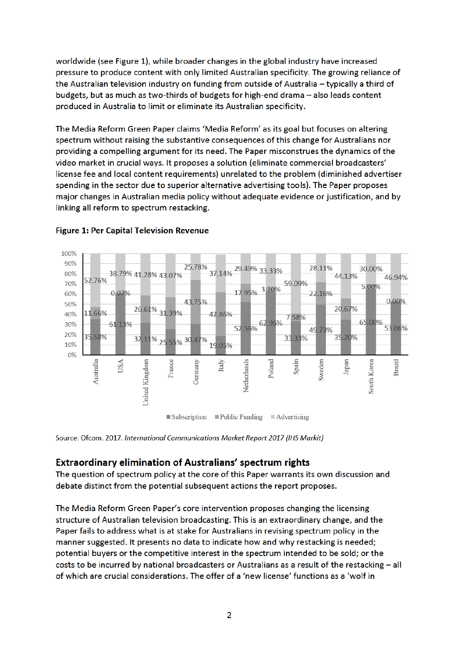worldwide (see Figure 1), while broader changes in the global industry have increased pressure to produce content with only limited Australian specificity. The growing reliance of the Australian television industry on funding from outside of Australia - typically a third of budgets, but as much as two-thirds of budgets for high-end drama - also leads content produced in Australia to limit or eliminate its Australian specificity.

The Media Reform Green Paper claims 'Media Reform' as its goal but focuses on altering spectrum without raising the substantive consequences of this change for Australians nor providing a compelling argument for its need. The Paper misconstrues the dynamics of the video market in crucial ways. It proposes a solution (eliminate commercial broadcasters' license fee and local content requirements) unrelated to the problem (diminished advertiser spending in the sector due to superior alternative advertising tools). The Paper proposes major changes in Australian media policy without adequate evidence or justification, and by linking all reform to spectrum restacking.



### **Figure 1: Per Capital Television Revenue**

Source: Ofcom. 2017. International Communications Market Report 2017 (IHS Markit)

## **Extraordinary elimination of Australians' spectrum rights**

The question of spectrum policy at the core of this Paper warrants its own discussion and debate distinct from the potential subsequent actions the report proposes.

The Media Reform Green Paper's core intervention proposes changing the licensing structure of Australian television broadcasting. This is an extraordinary change, and the Paper fails to address what is at stake for Australians in revising spectrum policy in the manner suggested. It presents no data to indicate how and why restacking is needed; potential buyers or the competitive interest in the spectrum intended to be sold; or the costs to be incurred by national broadcasters or Australians as a result of the restacking - all of which are crucial considerations. The offer of a 'new license' functions as a 'wolf in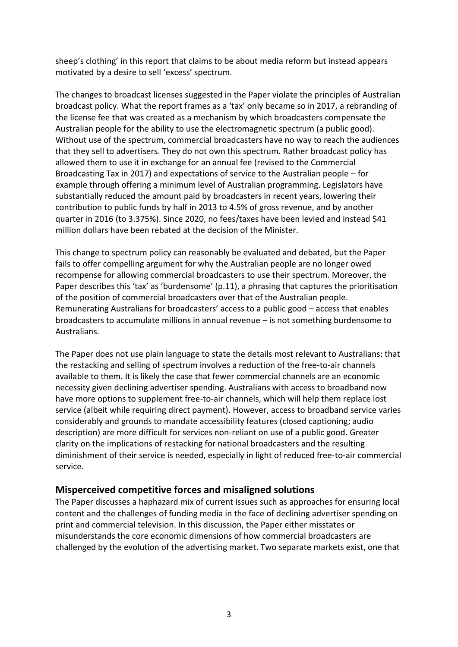sheep's clothing' in this report that claims to be about media reform but instead appears motivated by a desire to sell 'excess' spectrum.

The changes to broadcast licenses suggested in the Paper violate the principles of Australian broadcast policy. What the report frames as a 'tax' only became so in 2017, a rebranding of the license fee that was created as a mechanism by which broadcasters compensate the Australian people for the ability to use the electromagnetic spectrum (a public good). Without use of the spectrum, commercial broadcasters have no way to reach the audiences that they sell to advertisers. They do not own this spectrum. Rather broadcast policy has allowed them to use it in exchange for an annual fee (revised to the Commercial Broadcasting Tax in 2017) and expectations of service to the Australian people – for example through offering a minimum level of Australian programming. Legislators have substantially reduced the amount paid by broadcasters in recent years, lowering their contribution to public funds by half in 2013 to 4.5% of gross revenue, and by another quarter in 2016 (to 3.375%). Since 2020, no fees/taxes have been levied and instead \$41 million dollars have been rebated at the decision of the Minister.

This change to spectrum policy can reasonably be evaluated and debated, but the Paper fails to offer compelling argument for why the Australian people are no longer owed recompense for allowing commercial broadcasters to use their spectrum. Moreover, the Paper describes this 'tax' as 'burdensome' (p.11), a phrasing that captures the prioritisation of the position of commercial broadcasters over that of the Australian people. Remunerating Australians for broadcasters' access to a public good – access that enables broadcasters to accumulate millions in annual revenue – is not something burdensome to Australians.

The Paper does not use plain language to state the details most relevant to Australians: that the restacking and selling of spectrum involves a reduction of the free-to-air channels available to them. It is likely the case that fewer commercial channels are an economic necessity given declining advertiser spending. Australians with access to broadband now have more options to supplement free-to-air channels, which will help them replace lost service (albeit while requiring direct payment). However, access to broadband service varies considerably and grounds to mandate accessibility features (closed captioning; audio description) are more difficult for services non-reliant on use of a public good. Greater clarity on the implications of restacking for national broadcasters and the resulting diminishment of their service is needed, especially in light of reduced free-to-air commercial service.

## **Misperceived competitive forces and misaligned solutions**

The Paper discusses a haphazard mix of current issues such as approaches for ensuring local content and the challenges of funding media in the face of declining advertiser spending on print and commercial television. In this discussion, the Paper either misstates or misunderstands the core economic dimensions of how commercial broadcasters are challenged by the evolution of the advertising market. Two separate markets exist, one that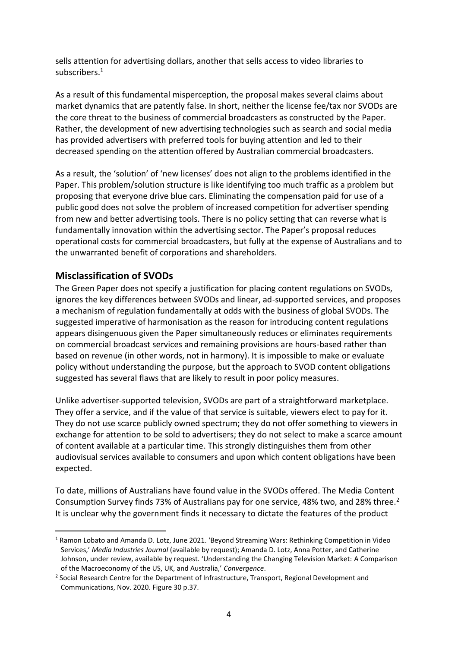sells attention for advertising dollars, another that sells access to video libraries to subscribers.<sup>1</sup>

As a result of this fundamental misperception, the proposal makes several claims about market dynamics that are patently false. In short, neither the license fee/tax nor SVODs are the core threat to the business of commercial broadcasters as constructed by the Paper. Rather, the development of new advertising technologies such as search and social media has provided advertisers with preferred tools for buying attention and led to their decreased spending on the attention offered by Australian commercial broadcasters.

As a result, the 'solution' of 'new licenses' does not align to the problems identified in the Paper. This problem/solution structure is like identifying too much traffic as a problem but proposing that everyone drive blue cars. Eliminating the compensation paid for use of a public good does not solve the problem of increased competition for advertiser spending from new and better advertising tools. There is no policy setting that can reverse what is fundamentally innovation within the advertising sector. The Paper's proposal reduces operational costs for commercial broadcasters, but fully at the expense of Australians and to the unwarranted benefit of corporations and shareholders.

# **Misclassification of SVODs**

1

The Green Paper does not specify a justification for placing content regulations on SVODs, ignores the key differences between SVODs and linear, ad-supported services, and proposes a mechanism of regulation fundamentally at odds with the business of global SVODs. The suggested imperative of harmonisation as the reason for introducing content regulations appears disingenuous given the Paper simultaneously reduces or eliminates requirements on commercial broadcast services and remaining provisions are hours-based rather than based on revenue (in other words, not in harmony). It is impossible to make or evaluate policy without understanding the purpose, but the approach to SVOD content obligations suggested has several flaws that are likely to result in poor policy measures.

Unlike advertiser-supported television, SVODs are part of a straightforward marketplace. They offer a service, and if the value of that service is suitable, viewers elect to pay for it. They do not use scarce publicly owned spectrum; they do not offer something to viewers in exchange for attention to be sold to advertisers; they do not select to make a scarce amount of content available at a particular time. This strongly distinguishes them from other audiovisual services available to consumers and upon which content obligations have been expected.

To date, millions of Australians have found value in the SVODs offered. The Media Content Consumption Survey finds 73% of Australians pay for one service, 48% two, and 28% three.<sup>2</sup> It is unclear why the government finds it necessary to dictate the features of the product

<sup>1</sup> Ramon Lobato and Amanda D. Lotz, June 2021. 'Beyond Streaming Wars: Rethinking Competition in Video Services,' *Media Industries Journal* (available by request); Amanda D. Lotz, Anna Potter, and Catherine Johnson, under review, available by request. 'Understanding the Changing Television Market: A Comparison of the Macroeconomy of the US, UK, and Australia,' *Convergence*.

<sup>&</sup>lt;sup>2</sup> Social Research Centre for the Department of Infrastructure, Transport, Regional Development and Communications, Nov. 2020. Figure 30 p.37.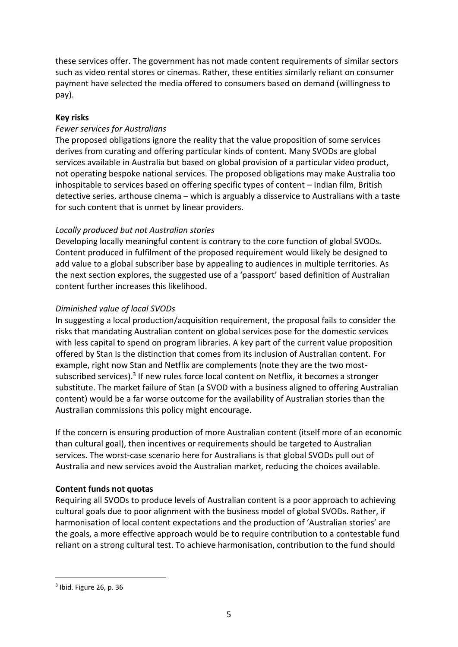these services offer. The government has not made content requirements of similar sectors such as video rental stores or cinemas. Rather, these entities similarly reliant on consumer payment have selected the media offered to consumers based on demand (willingness to pay).

### **Key risks**

### *Fewer services for Australians*

The proposed obligations ignore the reality that the value proposition of some services derives from curating and offering particular kinds of content. Many SVODs are global services available in Australia but based on global provision of a particular video product, not operating bespoke national services. The proposed obligations may make Australia too inhospitable to services based on offering specific types of content – Indian film, British detective series, arthouse cinema – which is arguably a disservice to Australians with a taste for such content that is unmet by linear providers.

#### *Locally produced but not Australian stories*

Developing locally meaningful content is contrary to the core function of global SVODs. Content produced in fulfilment of the proposed requirement would likely be designed to add value to a global subscriber base by appealing to audiences in multiple territories. As the next section explores, the suggested use of a 'passport' based definition of Australian content further increases this likelihood.

#### *Diminished value of local SVODs*

In suggesting a local production/acquisition requirement, the proposal fails to consider the risks that mandating Australian content on global services pose for the domestic services with less capital to spend on program libraries. A key part of the current value proposition offered by Stan is the distinction that comes from its inclusion of Australian content. For example, right now Stan and Netflix are complements (note they are the two mostsubscribed services).<sup>3</sup> If new rules force local content on Netflix, it becomes a stronger substitute. The market failure of Stan (a SVOD with a business aligned to offering Australian content) would be a far worse outcome for the availability of Australian stories than the Australian commissions this policy might encourage.

If the concern is ensuring production of more Australian content (itself more of an economic than cultural goal), then incentives or requirements should be targeted to Australian services. The worst-case scenario here for Australians is that global SVODs pull out of Australia and new services avoid the Australian market, reducing the choices available.

#### **Content funds not quotas**

Requiring all SVODs to produce levels of Australian content is a poor approach to achieving cultural goals due to poor alignment with the business model of global SVODs. Rather, if harmonisation of local content expectations and the production of 'Australian stories' are the goals, a more effective approach would be to require contribution to a contestable fund reliant on a strong cultural test. To achieve harmonisation, contribution to the fund should

1

<sup>&</sup>lt;sup>3</sup> Ibid. Figure 26, p. 36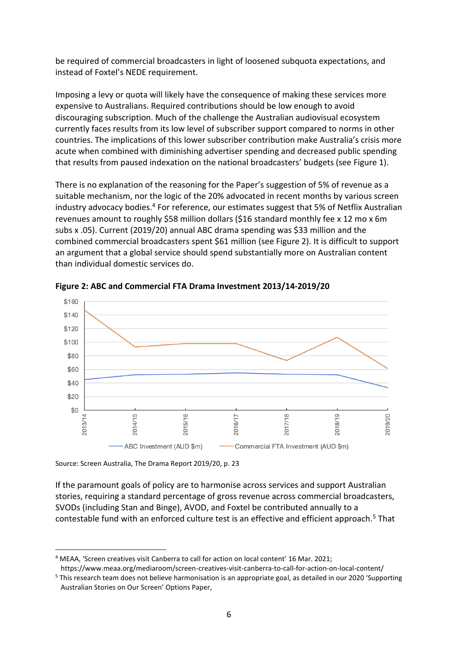be required of commercial broadcasters in light of loosened subquota expectations, and instead of Foxtel's NEDE requirement.

Imposing a levy or quota will likely have the consequence of making these services more expensive to Australians. Required contributions should be low enough to avoid discouraging subscription. Much of the challenge the Australian audiovisual ecosystem currently faces results from its low level of subscriber support compared to norms in other countries. The implications of this lower subscriber contribution make Australia's crisis more acute when combined with diminishing advertiser spending and decreased public spending that results from paused indexation on the national broadcasters' budgets (see Figure 1).

There is no explanation of the reasoning for the Paper's suggestion of 5% of revenue as a suitable mechanism, nor the logic of the 20% advocated in recent months by various screen industry advocacy bodies.<sup>4</sup> For reference, our estimates suggest that 5% of Netflix Australian revenues amount to roughly \$58 million dollars (\$16 standard monthly fee x 12 mo x 6m subs x .05). Current (2019/20) annual ABC drama spending was \$33 million and the combined commercial broadcasters spent \$61 million (see Figure 2). It is difficult to support an argument that a global service should spend substantially more on Australian content than individual domestic services do.



**Figure 2: ABC and Commercial FTA Drama Investment 2013/14-2019/20**

Source: Screen Australia, The Drama Report 2019/20, p. 23

<u>.</u>

If the paramount goals of policy are to harmonise across services and support Australian stories, requiring a standard percentage of gross revenue across commercial broadcasters, SVODs (including Stan and Binge), AVOD, and Foxtel be contributed annually to a contestable fund with an enforced culture test is an effective and efficient approach.<sup>5</sup> That

<sup>4</sup> MEAA, 'Screen creatives visit Canberra to call for action on local content' 16 Mar. 2021;

https://www.meaa.org/mediaroom/screen-creatives-visit-canberra-to-call-for-action-on-local-content/ <sup>5</sup> This research team does not believe harmonisation is an appropriate goal, as detailed in our 2020 'Supporting

Australian Stories on Our Screen' Options Paper,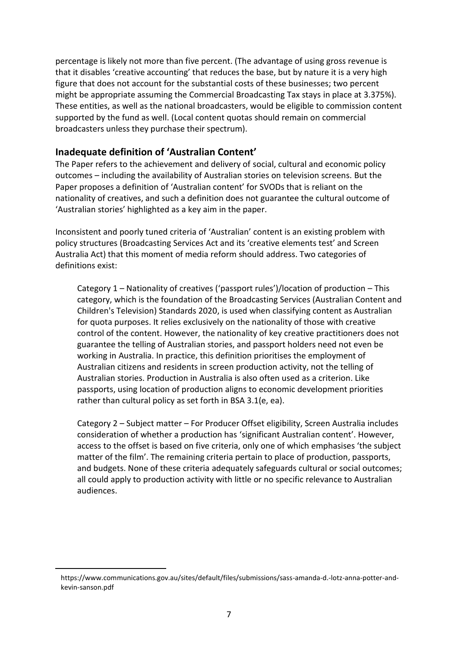percentage is likely not more than five percent. (The advantage of using gross revenue is that it disables 'creative accounting' that reduces the base, but by nature it is a very high figure that does not account for the substantial costs of these businesses; two percent might be appropriate assuming the Commercial Broadcasting Tax stays in place at 3.375%). These entities, as well as the national broadcasters, would be eligible to commission content supported by the fund as well. (Local content quotas should remain on commercial broadcasters unless they purchase their spectrum).

## **Inadequate definition of 'Australian Content'**

The Paper refers to the achievement and delivery of social, cultural and economic policy outcomes – including the availability of Australian stories on television screens. But the Paper proposes a definition of 'Australian content' for SVODs that is reliant on the nationality of creatives, and such a definition does not guarantee the cultural outcome of 'Australian stories' highlighted as a key aim in the paper.

Inconsistent and poorly tuned criteria of 'Australian' content is an existing problem with policy structures (Broadcasting Services Act and its 'creative elements test' and Screen Australia Act) that this moment of media reform should address. Two categories of definitions exist:

Category 1 – Nationality of creatives ('passport rules')/location of production – This category, which is the foundation of the Broadcasting Services (Australian Content and Children's Television) Standards 2020, is used when classifying content as Australian for quota purposes. It relies exclusively on the nationality of those with creative control of the content. However, the nationality of key creative practitioners does not guarantee the telling of Australian stories, and passport holders need not even be working in Australia. In practice, this definition prioritises the employment of Australian citizens and residents in screen production activity, not the telling of Australian stories. Production in Australia is also often used as a criterion. Like passports, using location of production aligns to economic development priorities rather than cultural policy as set forth in BSA 3.1(e, ea).

Category 2 – Subject matter – For Producer Offset eligibility, Screen Australia includes consideration of whether a production has 'significant Australian content'. However, access to the offset is based on five criteria, only one of which emphasises 'the subject matter of the film'. The remaining criteria pertain to place of production, passports, and budgets. None of these criteria adequately safeguards cultural or social outcomes; all could apply to production activity with little or no specific relevance to Australian audiences.

<u>.</u>

https://www.communications.gov.au/sites/default/files/submissions/sass-amanda-d.-lotz-anna-potter-andkevin-sanson.pdf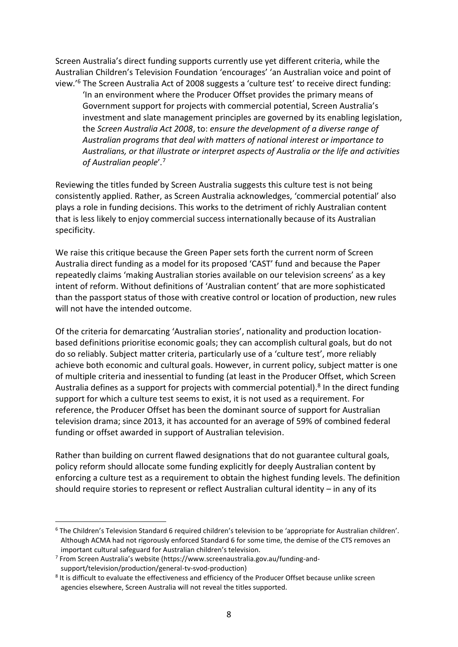Screen Australia's direct funding supports currently use yet different criteria, while the Australian Children's Television Foundation 'encourages' 'an Australian voice and point of view.'<sup>6</sup> The Screen Australia Act of 2008 suggests a 'culture test' to receive direct funding: 'In an environment where the Producer Offset provides the primary means of Government support for projects with commercial potential, Screen Australia's investment and slate management principles are governed by its enabling legislation, the *Screen Australia Act 2008*, to: *ensure the development of a diverse range of Australian programs that deal with matters of national interest or importance to Australians, or that illustrate or interpret aspects of Australia or the life and activities of Australian people*'*.* 7

Reviewing the titles funded by Screen Australia suggests this culture test is not being consistently applied. Rather, as Screen Australia acknowledges, 'commercial potential' also plays a role in funding decisions. This works to the detriment of richly Australian content that is less likely to enjoy commercial success internationally because of its Australian specificity.

We raise this critique because the Green Paper sets forth the current norm of Screen Australia direct funding as a model for its proposed 'CAST' fund and because the Paper repeatedly claims 'making Australian stories available on our television screens' as a key intent of reform. Without definitions of 'Australian content' that are more sophisticated than the passport status of those with creative control or location of production, new rules will not have the intended outcome.

Of the criteria for demarcating 'Australian stories', nationality and production locationbased definitions prioritise economic goals; they can accomplish cultural goals, but do not do so reliably. Subject matter criteria, particularly use of a 'culture test', more reliably achieve both economic and cultural goals. However, in current policy, subject matter is one of multiple criteria and inessential to funding (at least in the Producer Offset, which Screen Australia defines as a support for projects with commercial potential).<sup>8</sup> In the direct funding support for which a culture test seems to exist, it is not used as a requirement. For reference, the Producer Offset has been the dominant source of support for Australian television drama; since 2013, it has accounted for an average of 59% of combined federal funding or offset awarded in support of Australian television.

Rather than building on current flawed designations that do not guarantee cultural goals, policy reform should allocate some funding explicitly for deeply Australian content by enforcing a culture test as a requirement to obtain the highest funding levels. The definition should require stories to represent or reflect Australian cultural identity – in any of its

<u>.</u>

<sup>6</sup> The Children's Television Standard 6 required children's television to be 'appropriate for Australian children'. Although ACMA had not rigorously enforced Standard 6 for some time, the demise of the CTS removes an important cultural safeguard for Australian children's television.

<sup>7</sup> From Screen Australia's website (https://www.screenaustralia.gov.au/funding-andsupport/television/production/general-tv-svod-production)

<sup>&</sup>lt;sup>8</sup> It is difficult to evaluate the effectiveness and efficiency of the Producer Offset because unlike screen agencies elsewhere, Screen Australia will not reveal the titles supported.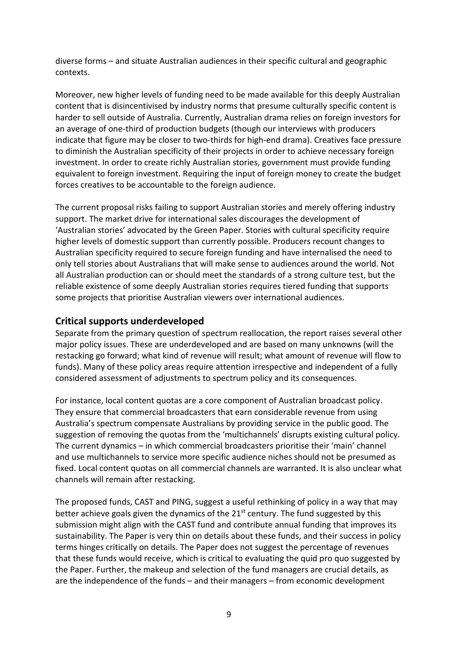diverse forms – and situate Australian audiences in their specific cultural and geographic contexts.

Moreover, new higher levels of funding need to be made available for this deeply Australian content that is disincentivised by industry norms that presume culturally specific content is harder to sell outside of Australia. Currently, Australian drama relies on foreign investors for an average of one-third of production budgets (though our interviews with producers indicate that figure may be closer to two-thirds for high-end drama). Creatives face pressure to diminish the Australian specificity of their projects in order to achieve necessary foreign investment. In order to create richly Australian stories, government must provide funding equivalent to foreign investment. Requiring the input of foreign money to create the budget forces creatives to be accountable to the foreign audience.

The current proposal risks failing to support Australian stories and merely offering industry support. The market drive for international sales discourages the development of 'Australian stories' advocated by the Green Paper. Stories with cultural specificity require higher levels of domestic support than currently possible. Producers recount changes to Australian specificity required to secure foreign funding and have internalised the need to only tell stories about Australians that will make sense to audiences around the world. Not all Australian production can or should meet the standards of a strong culture test, but the reliable existence of some deeply Australian stories requires tiered funding that supports some projects that prioritise Australian viewers over international audiences.

## **Critical supports underdeveloped**

Separate from the primary question of spectrum reallocation, the report raises several other major policy issues. These are underdeveloped and are based on many unknowns (will the restacking go forward; what kind of revenue will result; what amount of revenue will flow to funds). Many of these policy areas require attention irrespective and independent of a fully considered assessment of adjustments to spectrum policy and its consequences.

For instance, local content quotas are a core component of Australian broadcast policy. They ensure that commercial broadcasters that earn considerable revenue from using Australia's spectrum compensate Australians by providing service in the public good. The suggestion of removing the quotas from the 'multichannels' disrupts existing cultural policy. The current dynamics – in which commercial broadcasters prioritise their 'main' channel and use multichannels to service more specific audience niches should not be presumed as fixed. Local content quotas on all commercial channels are warranted. It is also unclear what channels will remain after restacking.

The proposed funds, CAST and PING, suggest a useful rethinking of policy in a way that may better achieve goals given the dynamics of the  $21<sup>st</sup>$  century. The fund suggested by this submission might align with the CAST fund and contribute annual funding that improves its sustainability. The Paper is very thin on details about these funds, and their success in policy terms hinges critically on details. The Paper does not suggest the percentage of revenues that these funds would receive, which is critical to evaluating the quid pro quo suggested by the Paper. Further, the makeup and selection of the fund managers are crucial details, as are the independence of the funds – and their managers – from economic development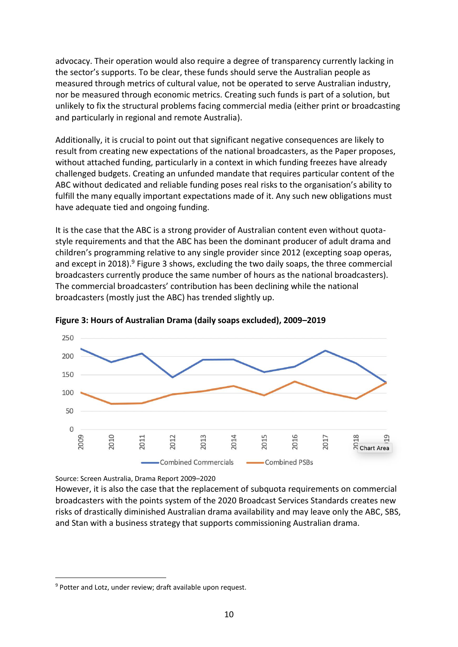advocacy. Their operation would also require a degree of transparency currently lacking in the sector's supports. To be clear, these funds should serve the Australian people as measured through metrics of cultural value, not be operated to serve Australian industry, nor be measured through economic metrics. Creating such funds is part of a solution, but unlikely to fix the structural problems facing commercial media (either print or broadcasting and particularly in regional and remote Australia).

Additionally, it is crucial to point out that significant negative consequences are likely to result from creating new expectations of the national broadcasters, as the Paper proposes, without attached funding, particularly in a context in which funding freezes have already challenged budgets. Creating an unfunded mandate that requires particular content of the ABC without dedicated and reliable funding poses real risks to the organisation's ability to fulfill the many equally important expectations made of it. Any such new obligations must have adequate tied and ongoing funding.

It is the case that the ABC is a strong provider of Australian content even without quotastyle requirements and that the ABC has been the dominant producer of adult drama and children's programming relative to any single provider since 2012 (excepting soap operas, and except in 2018).<sup>9</sup> Figure 3 shows, excluding the two daily soaps, the three commercial broadcasters currently produce the same number of hours as the national broadcasters). The commercial broadcasters' contribution has been declining while the national broadcasters (mostly just the ABC) has trended slightly up.



**Figure 3: Hours of Australian Drama (daily soaps excluded), 2009–2019**

Source: Screen Australia, Drama Report 2009–2020

However, it is also the case that the replacement of subquota requirements on commercial broadcasters with the points system of the 2020 Broadcast Services Standards creates new risks of drastically diminished Australian drama availability and may leave only the ABC, SBS, and Stan with a business strategy that supports commissioning Australian drama.

1

<sup>&</sup>lt;sup>9</sup> Potter and Lotz, under review; draft available upon request.